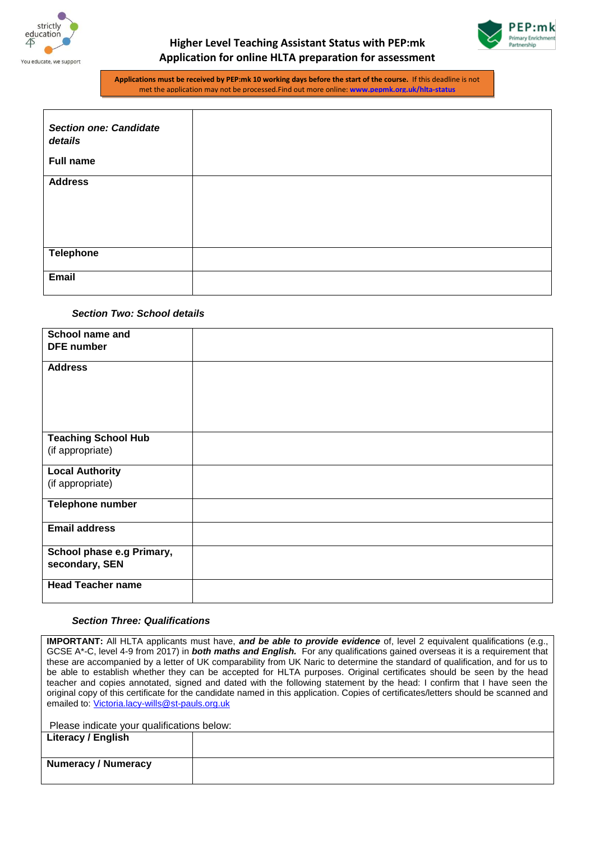



**Applications must be received by PEP:mk 10 working days before the start of the course.** If this deadline is not met the application may not be processed.Find out more online: **[www.pepmk.org.uk/hlta-status](http://www.pepmk.org.uk/hlta-status)**

| <b>Section one: Candidate</b><br>details |  |
|------------------------------------------|--|
| <b>Full name</b>                         |  |
| <b>Address</b>                           |  |
| <b>Telephone</b>                         |  |
| Email                                    |  |

## *Section Two: School details*

| <b>School name and</b>     |  |
|----------------------------|--|
| <b>DFE</b> number          |  |
| <b>Address</b>             |  |
|                            |  |
|                            |  |
|                            |  |
|                            |  |
| <b>Teaching School Hub</b> |  |
| (if appropriate)           |  |
| <b>Local Authority</b>     |  |
| (if appropriate)           |  |
| Telephone number           |  |
| <b>Email address</b>       |  |
| School phase e.g Primary,  |  |
| secondary, SEN             |  |
| <b>Head Teacher name</b>   |  |
|                            |  |

#### *Section Three: Qualifications*

**IMPORTANT:** All HLTA applicants must have, *and be able to provide evidence* of, level 2 equivalent qualifications (e.g., GCSE A\*-C, level 4-9 from 2017) in *both maths and English.* For any qualifications gained overseas it is a requirement that these are accompanied by a letter of UK comparability from UK Naric to determine the standard of qualification, and for us to be able to establish whether they can be accepted for HLTA purposes. Original certificates should be seen by the head teacher and copies annotated, signed and dated with the following statement by the head: I confirm that I have seen the original copy of this certificate for the candidate named in this application. Copies of certificates/letters should be scanned and emailed to: [Victoria.lacy-wills@st-pauls.org.uk](mailto:Victoria.lacy-wills@st-pauls.org.uk)

| Please indicate your qualifications below: |  |
|--------------------------------------------|--|
| Literacy / English                         |  |
|                                            |  |
|                                            |  |
| <b>Numeracy / Numeracy</b>                 |  |
|                                            |  |
|                                            |  |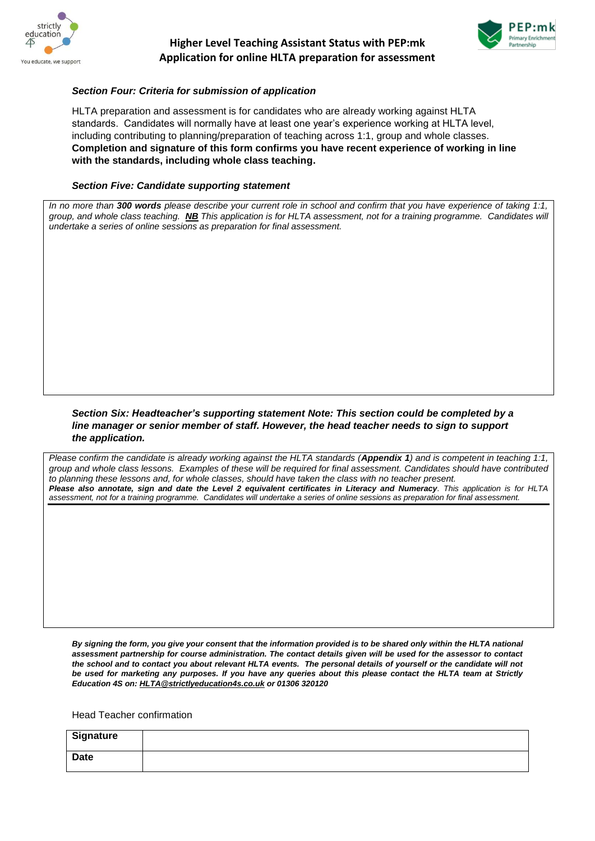



### *Section Four: Criteria for submission of application*

HLTA preparation and assessment is for candidates who are already working against HLTA standards. Candidates will normally have at least one year's experience working at HLTA level, including contributing to planning/preparation of teaching across 1:1, group and whole classes. **Completion and signature of this form confirms you have recent experience of working in line with the standards, including whole class teaching.**

#### *Section Five: Candidate supporting statement*

*In no more than 300 words please describe your current role in school and confirm that you have experience of taking 1:1, group, and whole class teaching. NB This application is for HLTA assessment, not for a training programme. Candidates will undertake a series of online sessions as preparation for final assessment.* 

### *Section Six: Headteacher's supporting statement Note: This section could be completed by a line manager or senior member of staff. However, the head teacher needs to sign to support the application.*

*Please confirm the candidate is already working against the HLTA standards (Appendix 1) and is competent in teaching 1:1, group and whole class lessons. Examples of these will be required for final assessment. Candidates should have contributed to planning these lessons and, for whole classes, should have taken the class with no teacher present. Please also annotate, sign and date the Level 2 equivalent certificates in Literacy and Numeracy. This application is for HLTA assessment, not for a training programme. Candidates will undertake a series of online sessions as preparation for final assessment.* 

*By signing the form, you give your consent that the information provided is to be shared only within the HLTA national assessment partnership for course administration. The contact details given will be used for the assessor to contact the school and to contact you about relevant HLTA events. The personal details of yourself or the candidate will not be used for marketing any purposes. If you have any queries about this please contact the HLTA team at Strictly Education 4S on[: HLTA@strictlyeducation4s.co.uk](mailto:HLTA@strictlyeducation4s.co.uk) or 01306 320120*

Head Teacher confirmation

| <b>Signature</b> |  |
|------------------|--|
| <b>Date</b>      |  |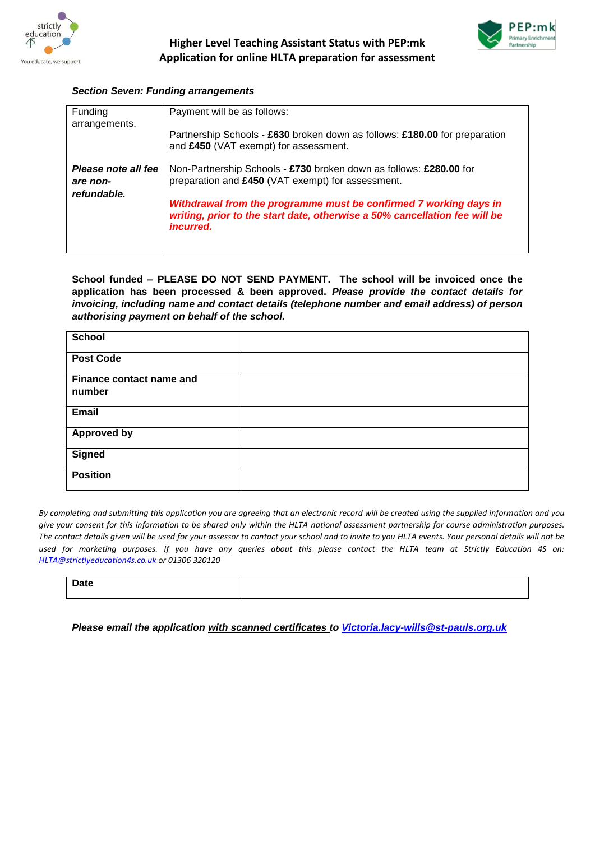



## *Section Seven: Funding arrangements*

| <b>Funding</b><br>arrangements.                | Payment will be as follows:                                                                                                                                         |
|------------------------------------------------|---------------------------------------------------------------------------------------------------------------------------------------------------------------------|
|                                                | Partnership Schools - £630 broken down as follows: £180.00 for preparation<br>and £450 (VAT exempt) for assessment.                                                 |
| Please note all fee<br>are non-<br>refundable. | Non-Partnership Schools - £730 broken down as follows: £280.00 for<br>preparation and £450 (VAT exempt) for assessment.                                             |
|                                                | Withdrawal from the programme must be confirmed 7 working days in<br>writing, prior to the start date, otherwise a 50% cancellation fee will be<br><i>incurred.</i> |
|                                                |                                                                                                                                                                     |

**School funded – PLEASE DO NOT SEND PAYMENT. The school will be invoiced once the application has been processed & been approved.** *Please provide the contact details for invoicing, including name and contact details (telephone number and email address) of person authorising payment on behalf of the school.*

| <b>School</b>                      |  |
|------------------------------------|--|
| <b>Post Code</b>                   |  |
| Finance contact name and<br>number |  |
| Email                              |  |
| <b>Approved by</b>                 |  |
| <b>Signed</b>                      |  |
| <b>Position</b>                    |  |

*By completing and submitting this application you are agreeing that an electronic record will be created using the supplied information and you give your consent for this information to be shared only within the HLTA national assessment partnership for course administration purposes. The contact details given will be used for your assessor to contact your school and to invite to you HLTA events. Your personal details will not be used for marketing purposes. If you have any queries about this please contact the HLTA team at Strictly Education 4S on: [HLTA@strictlyeducation4s.co.uk](mailto:HLTA@strictlyeducation4s.co.uk) or 01306 320120*

**Date**

*Please email the application with scanned certificates to [Victoria.lacy-wills@st-pauls.org.uk](mailto:Victoria.lacy-wills@st-pauls.org.uk)*